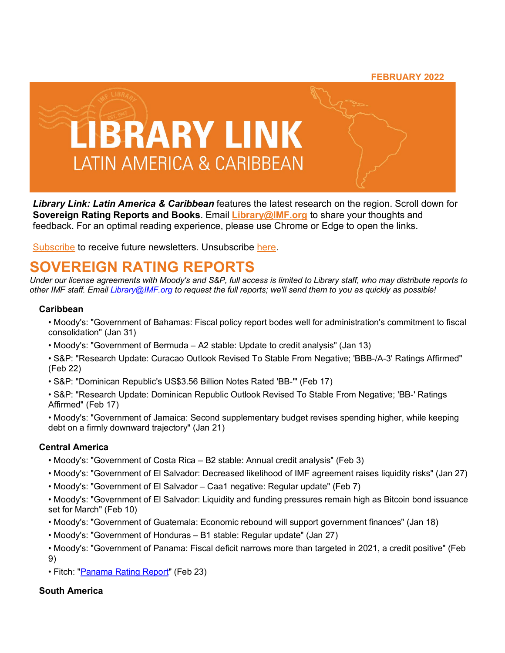#### **FEBRUARY 2022**



*Library Link: Latin America & Caribbean* features the latest research on the region. Scroll down for **Sovereign Rating Reports and Books**. Email **[Library@IMF.org](mailto:Library@IMF.org?subject=Library%20Link%20Latin%20America%20&%20Caribbean%20Suggestions)** to share your thoughts and feedback. For an optimal reading experience, please use Chrome or Edge to open the links.

[Subscribe](http://t.imfconnect.imf.org/r/?id=h6db4eb,2e435e3,33b459c&e=cDE9JTQwdVdVcWZfaENfZVJyNC1VdjM2QVlKU1lrdXA3dHE5Z0szc0FVbUxMeE9nRUwzSVQ3VUdia0EtbmphUVhKcmxSZFE3RlBNOFpmSzUxNEtBZHBoLUJ1SGNjM2Y0SQ&s=jtvcLelPYgixUtH27o_BjK_wmGzFOXFrKQgxAIDY1r8) to receive future newsletters. Unsubscribe [here.](http://t.imfconnect.imf.org/r/?id=h6db4eb,2e435e3,33b459d&e=cDE9JTQwdVdVcWZfaENfZVJyNC1VdjM2QVlKU1lrdXA3dHE5Z0szc0FVbUxMeE9nRUwzSVQ3VUdia0EtbmphUVhKcmxSZFE3RlBNOFpmSzUxNEtBZHBoLUJ1SGNjM2Y0SQ&s=2G0cYyT2TTVddeoDKSHwJX9uRguLycBl0PpO_blm64o)

# **SOVEREIGN RATING REPORTS**

*Under our license agreements with Moody's and S&P, full access is limited to Library staff, who may distribute reports to other IMF staff. Email [Library@IMF.org](mailto:Library@IMF.org) to request the full reports; we'll send them to you as quickly as possible!*

#### **Caribbean**

- Moody's: "Government of Bahamas: Fiscal policy report bodes well for administration's commitment to fiscal consolidation" (Jan 31)
- Moody's: "Government of Bermuda A2 stable: Update to credit analysis" (Jan 13)
- S&P: "Research Update: Curacao Outlook Revised To Stable From Negative; 'BBB-/A-3' Ratings Affirmed" (Feb 22)
- S&P: "Dominican Republic's US\$3.56 Billion Notes Rated 'BB-'" (Feb 17)
- S&P: "Research Update: Dominican Republic Outlook Revised To Stable From Negative; 'BB-' Ratings Affirmed" (Feb 17)
- Moody's: "Government of Jamaica: Second supplementary budget revises spending higher, while keeping debt on a firmly downward trajectory" (Jan 21)

#### **Central America**

- Moody's: "Government of Costa Rica B2 stable: Annual credit analysis" (Feb 3)
- Moody's: "Government of El Salvador: Decreased likelihood of IMF agreement raises liquidity risks" (Jan 27)
- Moody's: "Government of El Salvador Caa1 negative: Regular update" (Feb 7)
- Moody's: "Government of El Salvador: Liquidity and funding pressures remain high as Bitcoin bond issuance set for March" (Feb 10)
- Moody's: "Government of Guatemala: Economic rebound will support government finances" (Jan 18)
- Moody's: "Government of Honduras B1 stable: Regular update" (Jan 27)
- Moody's: "Government of Panama: Fiscal deficit narrows more than targeted in 2021, a credit positive" (Feb 9)
- Fitch: ["Panama Rating Report"](http://t.imfconnect.imf.org/r/?id=h6db4eb,2e435e3,33b459e) (Feb 23)

#### **South America**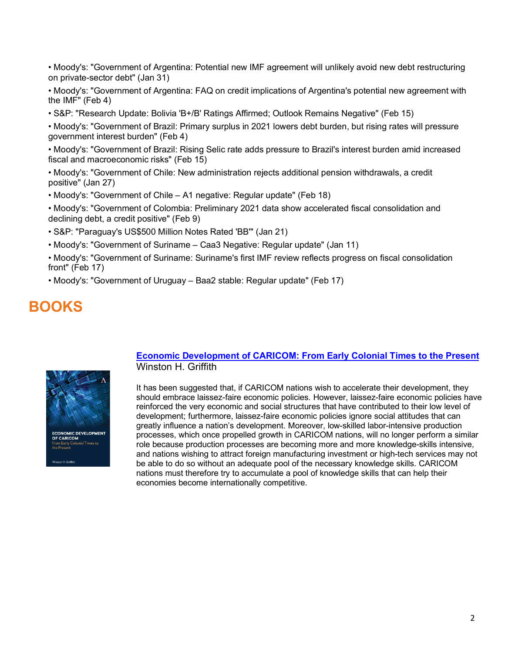• Moody's: "Government of Argentina: Potential new IMF agreement will unlikely avoid new debt restructuring on private-sector debt" (Jan 31)

• Moody's: "Government of Argentina: FAQ on credit implications of Argentina's potential new agreement with the IMF" (Feb 4)

• S&P: "Research Update: Bolivia 'B+/B' Ratings Affirmed; Outlook Remains Negative" (Feb 15)

• Moody's: "Government of Brazil: Primary surplus in 2021 lowers debt burden, but rising rates will pressure government interest burden" (Feb 4)

• Moody's: "Government of Brazil: Rising Selic rate adds pressure to Brazil's interest burden amid increased fiscal and macroeconomic risks" (Feb 15)

• Moody's: "Government of Chile: New administration rejects additional pension withdrawals, a credit positive" (Jan 27)

• Moody's: "Government of Chile – A1 negative: Regular update" (Feb 18)

• Moody's: "Government of Colombia: Preliminary 2021 data show accelerated fiscal consolidation and declining debt, a credit positive" (Feb 9)

• S&P: "Paraguay's US\$500 Million Notes Rated 'BB'" (Jan 21)

• Moody's: "Government of Suriname – Caa3 Negative: Regular update" (Jan 11)

• Moody's: "Government of Suriname: Suriname's first IMF review reflects progress on fiscal consolidation front" (Feb 17)

• Moody's: "Government of Uruguay – Baa2 stable: Regular update" (Feb 17)

## **BOOKS**



#### **[Economic Development of CARICOM: From Early Colonial Times to the Present](http://t.imfconnect.imf.org/r/?id=h6db4eb,2e435e3,33b45a0)** Winston H. Griffith

It has been suggested that, if CARICOM nations wish to accelerate their development, they should embrace laissez-faire economic policies. However, laissez-faire economic policies have reinforced the very economic and social structures that have contributed to their low level of development; furthermore, laissez-faire economic policies ignore social attitudes that can greatly influence a nation's development. Moreover, low-skilled labor-intensive production processes, which once propelled growth in CARICOM nations, will no longer perform a similar role because production processes are becoming more and more knowledge-skills intensive, and nations wishing to attract foreign manufacturing investment or high-tech services may not be able to do so without an adequate pool of the necessary knowledge skills. CARICOM nations must therefore try to accumulate a pool of knowledge skills that can help their economies become internationally competitive.